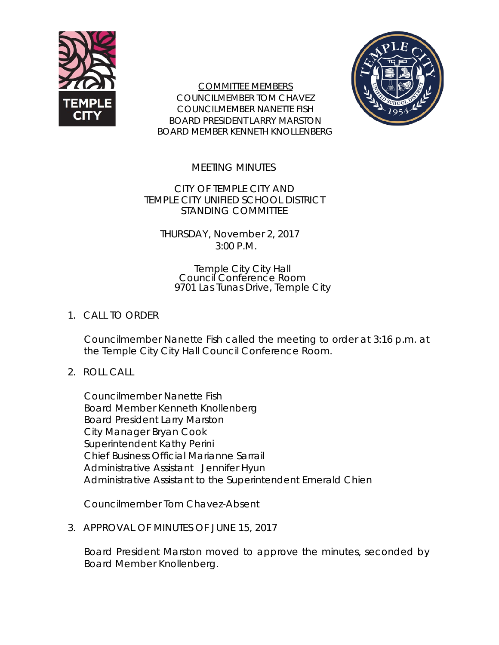

COMMITTEE MEMBERS COUNCILMEMBER TOM CHAVEZ COUNCILMEMBER NANETTE FISH BOARD PRESIDENT LARRY MARSTON BOARD MEMBER KENNETH KNOLLENBERG



MEETING MINUTES

CITY OF TEMPLE CITY AND TEMPLE CITY UNIFIED SCHOOL DISTRICT STANDING COMMITTEE

THURSDAY, November 2, 2017 3:00 P.M.

> Temple City City Hall Council Conference Room 9701 Las Tunas Drive, Temple City

## 1. CALL TO ORDER

Councilmember Nanette Fish called the meeting to order at 3:16 p.m. at the Temple City City Hall Council Conference Room.

## 2. ROLL CALL

Councilmember Nanette Fish Board Member Kenneth Knollenberg Board President Larry Marston City Manager Bryan Cook Superintendent Kathy Perini Chief Business Official Marianne Sarrail Administrative Assistant Jennifer Hyun Administrative Assistant to the Superintendent Emerald Chien

Councilmember Tom Chavez-Absent

3. APPROVAL OF MINUTES OF JUNE 15, 2017

Board President Marston moved to approve the minutes, seconded by Board Member Knollenberg.